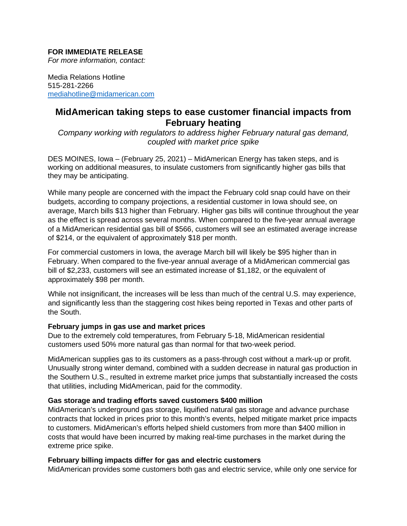## **FOR IMMEDIATE RELEASE**

*For more information, contact:*

Media Relations Hotline 515-281-2266 [mediahotline@midamerican.com](mailto:mediahotline@midamerican.com)

# **MidAmerican taking steps to ease customer financial impacts from February heating**

*Company working with regulators to address higher February natural gas demand, coupled with market price spike*

DES MOINES, Iowa – (February 25, 2021) – MidAmerican Energy has taken steps, and is working on additional measures, to insulate customers from significantly higher gas bills that they may be anticipating.

While many people are concerned with the impact the February cold snap could have on their budgets, according to company projections, a residential customer in Iowa should see, on average, March bills \$13 higher than February. Higher gas bills will continue throughout the year as the effect is spread across several months. When compared to the five-year annual average of a MidAmerican residential gas bill of \$566, customers will see an estimated average increase of \$214, or the equivalent of approximately \$18 per month.

For commercial customers in Iowa, the average March bill will likely be \$95 higher than in February. When compared to the five-year annual average of a MidAmerican commercial gas bill of \$2,233, customers will see an estimated increase of \$1,182, or the equivalent of approximately \$98 per month.

While not insignificant, the increases will be less than much of the central U.S. may experience, and significantly less than the staggering cost hikes being reported in Texas and other parts of the South.

#### **February jumps in gas use and market prices**

Due to the extremely cold temperatures, from February 5-18, MidAmerican residential customers used 50% more natural gas than normal for that two-week period.

MidAmerican supplies gas to its customers as a pass-through cost without a mark-up or profit. Unusually strong winter demand, combined with a sudden decrease in natural gas production in the Southern U.S., resulted in extreme market price jumps that substantially increased the costs that utilities, including MidAmerican, paid for the commodity.

## **Gas storage and trading efforts saved customers \$400 million**

MidAmerican's underground gas storage, liquified natural gas storage and advance purchase contracts that locked in prices prior to this month's events, helped mitigate market price impacts to customers. MidAmerican's efforts helped shield customers from more than \$400 million in costs that would have been incurred by making real-time purchases in the market during the extreme price spike.

#### **February billing impacts differ for gas and electric customers**

MidAmerican provides some customers both gas and electric service, while only one service for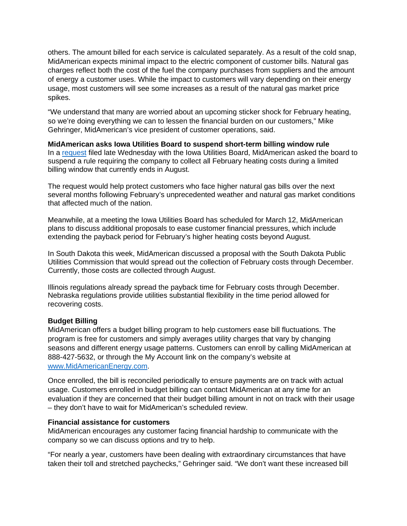others. The amount billed for each service is calculated separately. As a result of the cold snap, MidAmerican expects minimal impact to the electric component of customer bills. Natural gas charges reflect both the cost of the fuel the company purchases from suppliers and the amount of energy a customer uses. While the impact to customers will vary depending on their energy usage, most customers will see some increases as a result of the natural gas market price spikes.

"We understand that many are worried about an upcoming sticker shock for February heating, so we're doing everything we can to lessen the financial burden on our customers," Mike Gehringer, MidAmerican's vice president of customer operations, said.

**MidAmerican asks Iowa Utilities Board to suspend short-term billing window rule** In a [request](https://wcc.efs.iowa.gov/cs/idcplg?IdcService=GET_FILE&allowInterrupt=1&dID=342268&noSaveAs=1) filed late Wednesday with the Iowa Utilities Board, MidAmerican asked the board to suspend a rule requiring the company to collect all February heating costs during a limited billing window that currently ends in August.

The request would help protect customers who face higher natural gas bills over the next several months following February's unprecedented weather and natural gas market conditions that affected much of the nation.

Meanwhile, at a meeting the Iowa Utilities Board has scheduled for March 12, MidAmerican plans to discuss additional proposals to ease customer financial pressures, which include extending the payback period for February's higher heating costs beyond August.

In South Dakota this week, MidAmerican discussed a proposal with the South Dakota Public Utilities Commission that would spread out the collection of February costs through December. Currently, those costs are collected through August.

Illinois regulations already spread the payback time for February costs through December. Nebraska regulations provide utilities substantial flexibility in the time period allowed for recovering costs.

#### **Budget Billing**

MidAmerican offers a budget billing program to help customers ease bill fluctuations. The program is free for customers and simply averages utility charges that vary by changing seasons and different energy usage patterns. Customers can enroll by calling MidAmerican at 888-427-5632, or through the My Account link on the company's website at [www.MidAmericanEnergy.com.](http://www.midamericanenergy.com/)

Once enrolled, the bill is reconciled periodically to ensure payments are on track with actual usage. Customers enrolled in budget billing can contact MidAmerican at any time for an evaluation if they are concerned that their budget billing amount in not on track with their usage – they don't have to wait for MidAmerican's scheduled review.

#### **Financial assistance for customers**

MidAmerican encourages any customer facing financial hardship to communicate with the company so we can discuss options and try to help.

"For nearly a year, customers have been dealing with extraordinary circumstances that have taken their toll and stretched paychecks," Gehringer said. "We don't want these increased bill